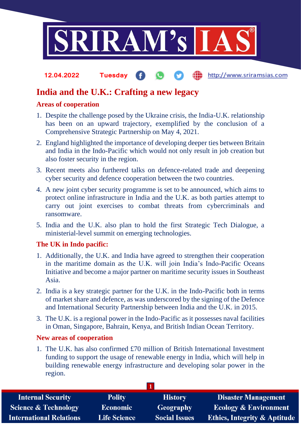

#### http://www.sriramsias.com **12.04.2022 Tuesday**

# **India and the U.K.: Crafting a new legacy**

### **Areas of cooperation**

- 1. Despite the challenge posed by the Ukraine crisis, the India-U.K. relationship has been on an upward trajectory, exemplified by the conclusion of a Comprehensive Strategic Partnership on May 4, 2021.
- 2. England highlighted the importance of developing deeper ties between Britain and India in the Indo-Pacific which would not only result in job creation but also foster security in the region.
- 3. Recent meets also furthered talks on defence-related trade and deepening cyber security and defence cooperation between the two countries.
- 4. A new joint cyber security programme is set to be announced, which aims to protect online infrastructure in India and the U.K. as both parties attempt to carry out joint exercises to combat threats from cybercriminals and ransomware.
- 5. India and the U.K. also plan to hold the first Strategic Tech Dialogue, a ministerial-level summit on emerging technologies.

### **The UK in Indo pacific:**

- 1. Additionally, the U.K. and India have agreed to strengthen their cooperation in the maritime domain as the U.K. will join India's Indo-Pacific Oceans Initiative and become a major partner on maritime security issues in Southeast Asia.
- 2. India is a key strategic partner for the U.K. in the Indo-Pacific both in terms of market share and defence, as was underscored by the signing of the Defence and International Security Partnership between India and the U.K. in 2015.
- 3. The U.K. is a regional power in the Indo-Pacific as it possesses naval facilities in Oman, Singapore, Bahrain, Kenya, and British Indian Ocean Territory.

#### **New areas of cooperation**

1. The U.K. has also confirmed £70 million of British International Investment funding to support the usage of renewable energy in India, which will help in building renewable energy infrastructure and developing solar power in the region.

| <b>Internal Security</b>        | <b>Polity</b>       | <b>History</b>       | <b>Disaster Management</b>              |
|---------------------------------|---------------------|----------------------|-----------------------------------------|
| <b>Science &amp; Technology</b> | <b>Economic</b>     | Geography            | <b>Ecology &amp; Environment</b>        |
| <b>International Relations</b>  | <b>Life Science</b> | <b>Social Issues</b> | <b>Ethics, Integrity &amp; Aptitude</b> |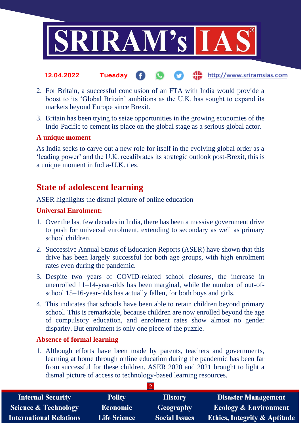

- http://www.sriramsias.com **12.04.2022 Tuesday**
- 2. For Britain, a successful conclusion of an FTA with India would provide a boost to its 'Global Britain' ambitions as the U.K. has sought to expand its markets beyond Europe since Brexit.
- 3. Britain has been trying to seize opportunities in the growing economies of the Indo-Pacific to cement its place on the global stage as a serious global actor.

### **A unique moment**

As India seeks to carve out a new role for itself in the evolving global order as a 'leading power' and the U.K. recalibrates its strategic outlook post-Brexit, this is a unique moment in India-U.K. ties.

## **State of adolescent learning**

ASER highlights the dismal picture of online education

### **Universal Enrolment:**

- 1. Over the last few decades in India, there has been a massive government drive to push for universal enrolment, extending to secondary as well as primary school children.
- 2. Successive Annual Status of Education Reports (ASER) have shown that this drive has been largely successful for both age groups, with high enrolment rates even during the pandemic.
- 3. Despite two years of COVID-related school closures, the increase in unenrolled 11–14-year-olds has been marginal, while the number of out-ofschool 15–16-year-olds has actually fallen, for both boys and girls.
- 4. This indicates that schools have been able to retain children beyond primary school. This is remarkable, because children are now enrolled beyond the age of compulsory education, and enrolment rates show almost no gender disparity. But enrolment is only one piece of the puzzle.

#### **Absence of formal learning**

1. Although efforts have been made by parents, teachers and governments, learning at home through online education during the pandemic has been far from successful for these children. ASER 2020 and 2021 brought to light a dismal picture of access to technology-based learning resources.

| <b>Internal Security</b>        | <b>Polity</b>       | <b>History</b>       | <b>Disaster Management</b>              |  |  |  |
|---------------------------------|---------------------|----------------------|-----------------------------------------|--|--|--|
| <b>Science &amp; Technology</b> | <b>Economic</b>     | <b>Geography</b>     | <b>Ecology &amp; Environment</b>        |  |  |  |
| <b>International Relations</b>  | <b>Life Science</b> | <b>Social Issues</b> | <b>Ethics, Integrity &amp; Aptitude</b> |  |  |  |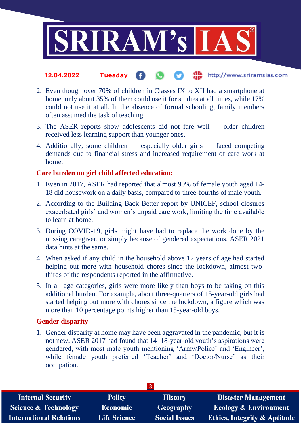

- the http://www.sriramsias.com **12.04.2022 Tuesday**
- 2. Even though over 70% of children in Classes IX to XII had a smartphone at home, only about 35% of them could use it for studies at all times, while 17% could not use it at all. In the absence of formal schooling, family members often assumed the task of teaching.
- 3. The ASER reports show adolescents did not fare well older children received less learning support than younger ones.
- 4. Additionally, some children especially older girls faced competing demands due to financial stress and increased requirement of care work at home.

#### **Care burden on girl child affected education:**

- 1. Even in 2017, ASER had reported that almost 90% of female youth aged 14- 18 did housework on a daily basis, compared to three-fourths of male youth.
- 2. According to the Building Back Better report by UNICEF, school closures exacerbated girls' and women's unpaid care work, limiting the time available to learn at home.
- 3. During COVID-19, girls might have had to replace the work done by the missing caregiver, or simply because of gendered expectations. ASER 2021 data hints at the same.
- 4. When asked if any child in the household above 12 years of age had started helping out more with household chores since the lockdown, almost twothirds of the respondents reported in the affirmative.
- 5. In all age categories, girls were more likely than boys to be taking on this additional burden. For example, about three-quarters of 15-year-old girls had started helping out more with chores since the lockdown, a figure which was more than 10 percentage points higher than 15-year-old boys.

#### **Gender disparity**

1. Gender disparity at home may have been aggravated in the pandemic, but it is not new. ASER 2017 had found that 14–18-year-old youth's aspirations were gendered, with most male youth mentioning 'Army/Police' and 'Engineer', while female youth preferred 'Teacher' and 'Doctor/Nurse' as their occupation.

| 137                             |                     |                      |                                         |  |  |
|---------------------------------|---------------------|----------------------|-----------------------------------------|--|--|
| <b>Internal Security</b>        | <b>Polity</b>       | <b>History</b>       | <b>Disaster Management</b>              |  |  |
| <b>Science &amp; Technology</b> | Economic            | <b>Geography</b>     | <b>Ecology &amp; Environment</b>        |  |  |
| <b>International Relations</b>  | <b>Life Science</b> | <b>Social Issues</b> | <b>Ethics, Integrity &amp; Aptitude</b> |  |  |